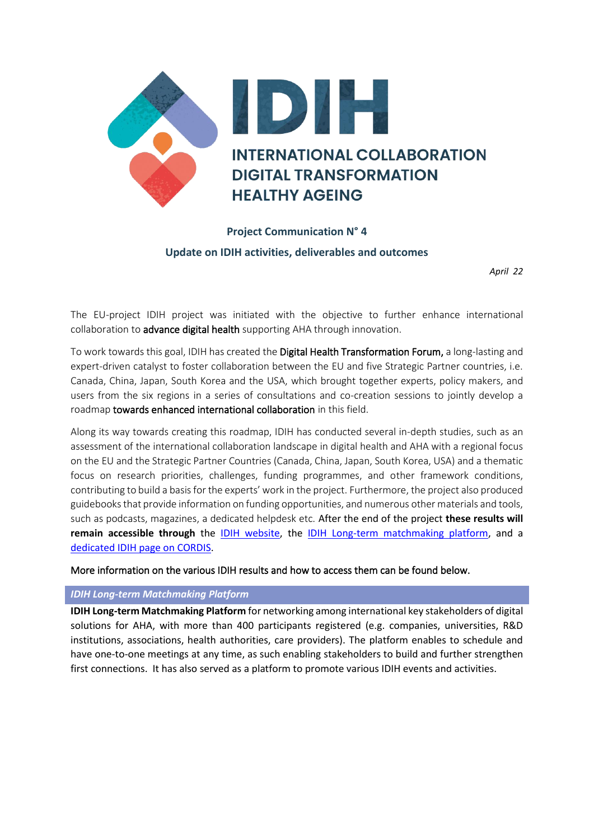

# **Project Communication N° 4 Update on IDIH activities, deliverables and outcomes**

*April 22*

The EU-project IDIH project was initiated with the objective to further enhance international collaboration to advance digital health supporting AHA through innovation.

To work towards this goal, IDIH has created the Digital Health Transformation Forum, a long-lasting and expert-driven catalyst to foster collaboration between the EU and five Strategic Partner countries, i.e. Canada, China, Japan, South Korea and the USA, which brought together experts, policy makers, and users from the six regions in a series of consultations and co-creation sessions to jointly develop a roadmap towards enhanced international collaboration in this field.

Along its way towards creating this roadmap, IDIH has conducted several in-depth studies, such as an assessment of the international collaboration landscape in digital health and AHA with a regional focus on the EU and the Strategic Partner Countries (Canada, China, Japan, South Korea, USA) and a thematic focus on research priorities, challenges, funding programmes, and other framework conditions, contributing to build a basis for the experts' work in the project. Furthermore, the project also produced guidebooks that provide information on funding opportunities, and numerous other materials and tools, such as podcasts, magazines, a dedicated helpdesk etc. After the end of the project **these results will remain accessible through** the [IDIH website,](https://idih-global.eu/) the [IDIH Long-term matchmaking platform,](https://health-innovation-community-platform.b2match.io/) and a [dedicated IDIH page on CORDIS.](https://cordis.europa.eu/project/id/826092/results/fr)

More information on the various IDIH results and how to access them can be found below.

## *IDIH Long-term Matchmaking Platform*

**IDIH Long-term Matchmaking Platform** for networking among international key stakeholders of digital solutions for AHA, with more than 400 participants registered (e.g. companies, universities, R&D institutions, associations, health authorities, care providers). The platform enables to schedule and have one-to-one meetings at any time, as such enabling stakeholders to build and further strengthen first connections. It has also served as a platform to promote various IDIH events and activities.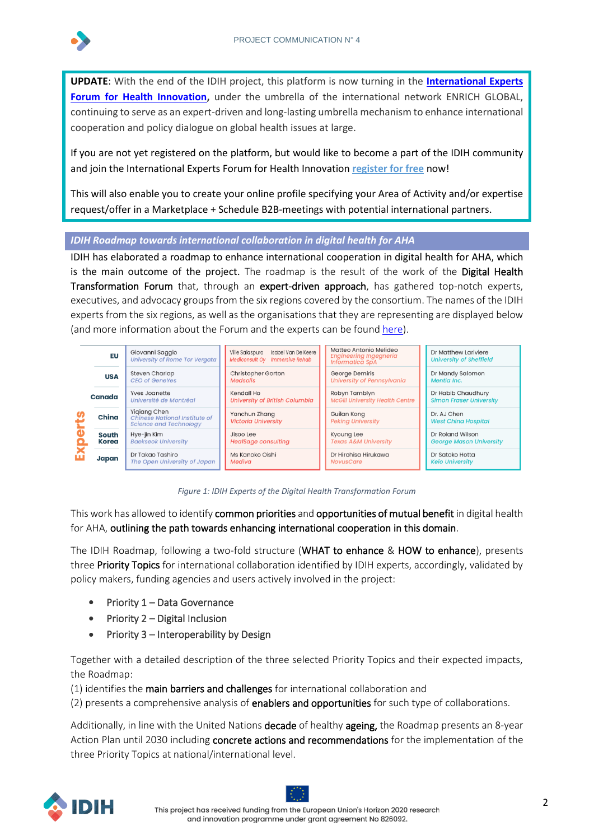

**UPDATE**: With the end of the IDIH project, this platform is now turning in the **[International Experts](https://www.enrich-global.eu/thematic-groups/health-innovation/)**  [Forum for Health Innovation,](https://www.enrich-global.eu/thematic-groups/health-innovation/) under the umbrella of the international network ENRICH GLOBAL, continuing to serve as an expert-driven and long-lasting umbrella mechanism to enhance international cooperation and policy dialogue on global health issues at large.

If you are not yet registered on the platform, but would like to become a part of the IDIH community and join the International Experts Forum for Health Innovation **[register for free](https://idih-week-2021.b2match.io/home)** now!

This will also enable you to create your online profile specifying your Area of Activity and/or expertise request/offer in a Marketplace + Schedule B2B-meetings with potential international partners.

# *IDIH Roadmap towards international collaboration in digital health for AHA*

IDIH has elaborated a roadmap to enhance international cooperation in digital health for AHA, which is the main outcome of the project. The roadmap is the result of the work of the Digital Health Transformation Forum that, through an expert-driven approach, has gathered top-notch experts, executives, and advocacy groups from the six regions covered by the consortium. The names of the IDIH experts from the six regions, as well as the organisations that they are representing are displayed below (and more information about the Forum and the experts can be foun[d here\)](https://idih-global.eu/expert-groups/).



*Figure 1: IDIH Experts of the Digital Health Transformation Forum*

This work has allowed to identify common priorities and opportunities of mutual benefit in digital health for AHA, outlining the path towards enhancing international cooperation in this domain.

The IDIH Roadmap, following a two-fold structure (WHAT to enhance & HOW to enhance), presents three Priority Topics for international collaboration identified by IDIH experts, accordingly, validated by policy makers, funding agencies and users actively involved in the project:

- Priority 1 Data Governance
- Priority 2 Digital Inclusion
- Priority 3 Interoperability by Design

Together with a detailed description of the three selected Priority Topics and their expected impacts, the Roadmap:

(1) identifies the main barriers and challenges for international collaboration and

(2) presents a comprehensive analysis of enablers and opportunities for such type of collaborations.

Additionally, in line with the United Nations decade of healthy ageing, the Roadmap presents an 8-year Action Plan until 2030 including concrete actions and recommendations for the implementation of the three Priority Topics at national/international level.

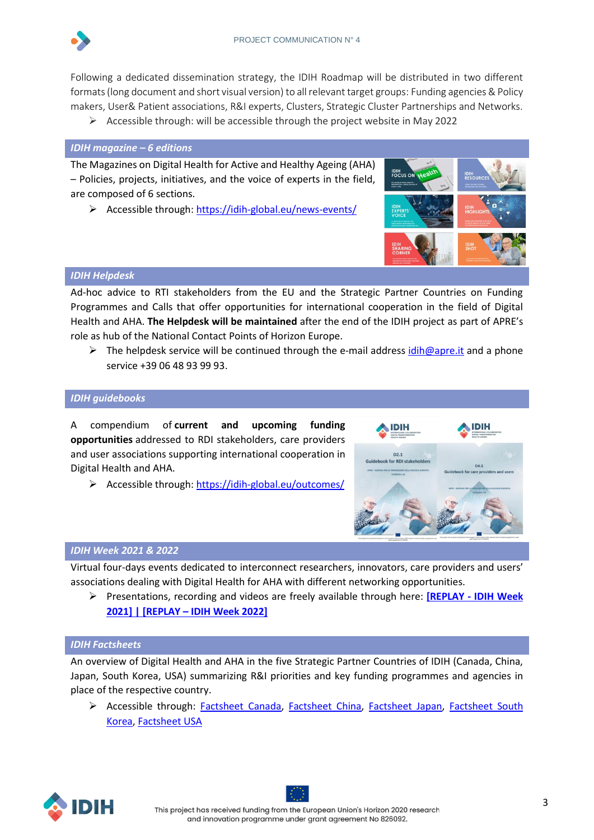

Following a dedicated dissemination strategy, the IDIH Roadmap will be distributed in two different formats (long document and short visual version) to all relevant target groups: Funding agencies & Policy makers, User& Patient associations, R&I experts, Clusters, Strategic Cluster Partnerships and Networks.

 $\triangleright$  Accessible through: will be accessible through the project website in May 2022

# *IDIH magazine – 6 editions*

The Magazines on Digital Health for Active and Healthy Ageing (AHA) – Policies, projects, initiatives, and the voice of experts in the field, are composed of 6 sections.

➢ Accessible through: <https://idih-global.eu/news-events/>



### *IDIH Helpdesk*

Ad-hoc advice to RTI stakeholders from the EU and the Strategic Partner Countries on Funding Programmes and Calls that offer opportunities for international cooperation in the field of Digital Health and AHA. **The Helpdesk will be maintained** after the end of the IDIH project as part of APRE's role as hub of the National Contact Points of Horizon Europe.

 $\triangleright$  The helpdesk service will be continued through the e-mail address [idih@apre.it](mailto:idih@apre.it) and a phone service +39 06 48 93 99 93.

# *IDIH guidebooks*

A compendium of **current and upcoming funding opportunities** addressed to RDI stakeholders, care providers and user associations supporting international cooperation in Digital Health and AHA.

➢ Accessible through[: https://idih-global.eu/outcomes/](https://idih-global.eu/outcomes/)



### *IDIH Week 2021 & 2022*

Virtual four-days events dedicated to interconnect researchers, innovators, care providers and users' associations dealing with Digital Health for AHA with different networking opportunities.

➢ Presentations, recording and videos are freely available through here: **[REPLAY - [IDIH Week](https://idih-global.eu/event/idih-week-2021-1-4-june-2021/)  [2021\]](https://idih-global.eu/event/idih-week-2021-1-4-june-2021/) | [REPLAY – [IDIH Week 2022\]](https://idih-global.eu/2022/04/05/replay-idih-week-2022-was-a-success-find-the-event-material-in-case-you-missed-it/)**

### *IDIH Factsheets*

An overview of Digital Health and AHA in the five Strategic Partner Countries of IDIH (Canada, China, Japan, South Korea, USA) summarizing R&I priorities and key funding programmes and agencies in place of the respective country.

➢ Accessible through: [Factsheet](https://idih-global.eu/wp-content/uploads/2021/06/IDIH_Canada-factsheet.pdf) [Canada,](https://idih-global.eu/wp-content/uploads/2021/06/IDIH_Canada-factsheet.pdf) [Factsheet](https://idih-global.eu/wp-content/uploads/2021/05/IDIH_China-factsheet.pdf) [China,](https://idih-global.eu/wp-content/uploads/2021/05/IDIH_China-factsheet.pdf) [Factsheet](https://idih-global.eu/wp-content/uploads/2021/04/IDIH_Japan-factsheet.pdf) [Japan,](https://idih-global.eu/wp-content/uploads/2021/04/IDIH_Japan-factsheet.pdf) [Factsheet](https://idih-global.eu/wp-content/uploads/2021/06/IDIH_South-Korea-factsheet.pdf) [South](https://idih-global.eu/wp-content/uploads/2021/06/IDIH_South-Korea-factsheet.pdf)  [Korea,](https://idih-global.eu/wp-content/uploads/2021/06/IDIH_South-Korea-factsheet.pdf) [Factsheet](https://idih-global.eu/wp-content/uploads/2021/06/IDIH_USA-factsheet.pdf) [USA](https://idih-global.eu/wp-content/uploads/2021/06/IDIH_USA-factsheet.pdf)